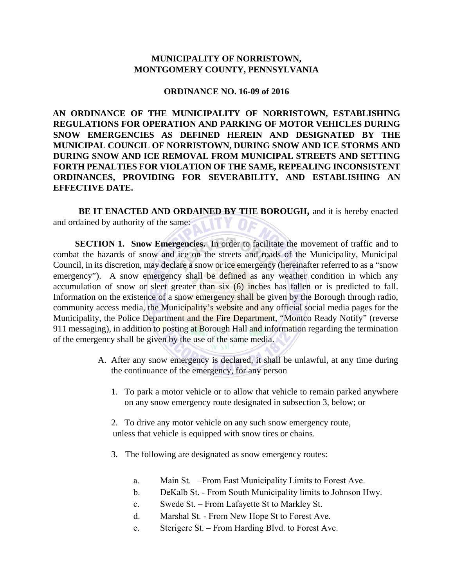## **MUNICIPALITY OF NORRISTOWN, MONTGOMERY COUNTY, PENNSYLVANIA**

## **ORDINANCE NO. 16-09 of 2016**

**AN ORDINANCE OF THE MUNICIPALITY OF NORRISTOWN, ESTABLISHING REGULATIONS FOR OPERATION AND PARKING OF MOTOR VEHICLES DURING SNOW EMERGENCIES AS DEFINED HEREIN AND DESIGNATED BY THE MUNICIPAL COUNCIL OF NORRISTOWN, DURING SNOW AND ICE STORMS AND DURING SNOW AND ICE REMOVAL FROM MUNICIPAL STREETS AND SETTING FORTH PENALTIES FOR VIOLATION OF THE SAME, REPEALING INCONSISTENT ORDINANCES, PROVIDING FOR SEVERABILITY, AND ESTABLISHING AN EFFECTIVE DATE.** 

 **BE IT ENACTED AND ORDAINED BY THE BOROUGH,** and it is hereby enacted and ordained by authority of the same:

**SECTION 1. Snow Emergencies.** In order to facilitate the movement of traffic and to combat the hazards of snow and ice on the streets and roads of the Municipality, Municipal Council, in its discretion, may declare a snow or ice emergency (hereinafter referred to as a "snow emergency"). A snow emergency shall be defined as any weather condition in which any accumulation of snow or sleet greater than six (6) inches has fallen or is predicted to fall. Information on the existence of a snow emergency shall be given by the Borough through radio, community access media, the Municipality's website and any official social media pages for the Municipality, the Police Department and the Fire Department, "Montco Ready Notify" (reverse 911 messaging), in addition to posting at Borough Hall and information regarding the termination of the emergency shall be given by the use of the same media.

- A. After any snow emergency is declared, it shall be unlawful, at any time during the continuance of the emergency, for any person
	- 1. To park a motor vehicle or to allow that vehicle to remain parked anywhere on any snow emergency route designated in subsection 3, below; or
	- 2. To drive any motor vehicle on any such snow emergency route, unless that vehicle is equipped with snow tires or chains.
	- 3. The following are designated as snow emergency routes:
		- a. Main St. –From East Municipality Limits to Forest Ave.
		- b. DeKalb St. From South Municipality limits to Johnson Hwy.
		- c. Swede St. From Lafayette St to Markley St.
		- d. Marshal St. From New Hope St to Forest Ave.
		- e. Sterigere St. From Harding Blvd. to Forest Ave.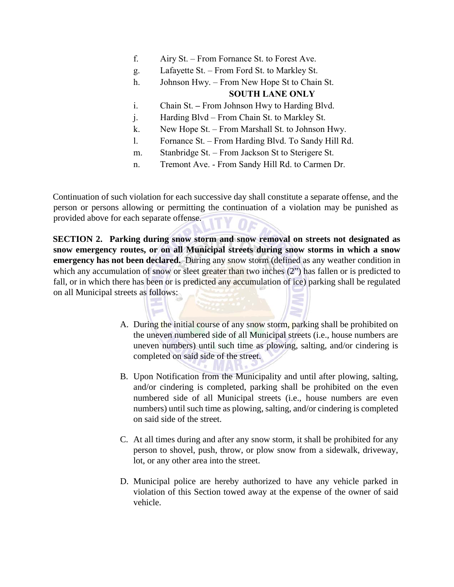- f. Airy St. From Fornance St. to Forest Ave.
- g. Lafayette St. From Ford St. to Markley St.
- h. Johnson Hwy. From New Hope St to Chain St.

## **SOUTH LANE ONLY**

- i. Chain St. **–** From Johnson Hwy to Harding Blvd.
- j. Harding Blvd From Chain St. to Markley St.
- k. New Hope St. From Marshall St. to Johnson Hwy.
- l. Fornance St. From Harding Blvd. To Sandy Hill Rd.
- m. Stanbridge St. From Jackson St to Sterigere St.
- n. Tremont Ave. From Sandy Hill Rd. to Carmen Dr.

Continuation of such violation for each successive day shall constitute a separate offense, and the person or persons allowing or permitting the continuation of a violation may be punished as provided above for each separate offense.

**SECTION 2. Parking during snow storm and snow removal on streets not designated as snow emergency routes, or on all Municipal streets during snow storms in which a snow emergency has not been declared.** During any snow storm (defined as any weather condition in which any accumulation of snow or sleet greater than two inches (2") has fallen or is predicted to fall, or in which there has been or is predicted any accumulation of ice) parking shall be regulated on all Municipal streets as follows:

- A. During the initial course of any snow storm, parking shall be prohibited on the uneven numbered side of all Municipal streets (i.e., house numbers are uneven numbers) until such time as plowing, salting, and/or cindering is completed on said side of the street.
- B. Upon Notification from the Municipality and until after plowing, salting, and/or cindering is completed, parking shall be prohibited on the even numbered side of all Municipal streets (i.e., house numbers are even numbers) until such time as plowing, salting, and/or cindering is completed on said side of the street.
- C. At all times during and after any snow storm, it shall be prohibited for any person to shovel, push, throw, or plow snow from a sidewalk, driveway, lot, or any other area into the street.
- D. Municipal police are hereby authorized to have any vehicle parked in violation of this Section towed away at the expense of the owner of said vehicle.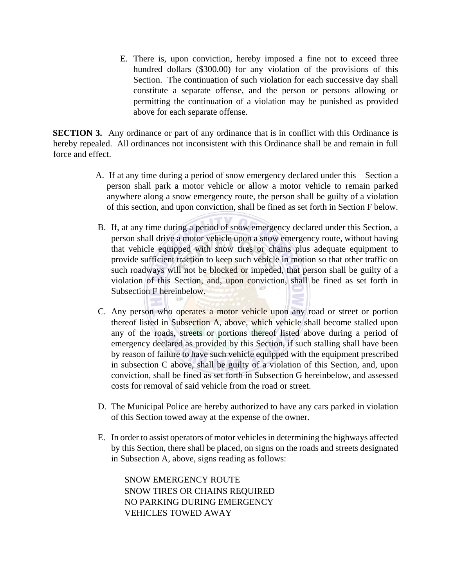E. There is, upon conviction, hereby imposed a fine not to exceed three hundred dollars (\$300.00) for any violation of the provisions of this Section. The continuation of such violation for each successive day shall constitute a separate offense, and the person or persons allowing or permitting the continuation of a violation may be punished as provided above for each separate offense.

**SECTION 3.** Any ordinance or part of any ordinance that is in conflict with this Ordinance is hereby repealed. All ordinances not inconsistent with this Ordinance shall be and remain in full force and effect.

- A. If at any time during a period of snow emergency declared under this Section a person shall park a motor vehicle or allow a motor vehicle to remain parked anywhere along a snow emergency route, the person shall be guilty of a violation of this section, and upon conviction, shall be fined as set forth in Section F below.
- B. If, at any time during a period of snow emergency declared under this Section, a person shall drive a motor vehicle upon a snow emergency route, without having that vehicle equipped with snow tires or chains plus adequate equipment to provide sufficient traction to keep such vehicle in motion so that other traffic on such roadways will not be blocked or impeded, that person shall be guilty of a violation of this Section, and, upon conviction, shall be fined as set forth in Subsection F hereinbelow.
- C. Any person who operates a motor vehicle upon any road or street or portion thereof listed in Subsection A, above, which vehicle shall become stalled upon any of the roads, streets or portions thereof listed above during a period of emergency declared as provided by this Section, if such stalling shall have been by reason of failure to have such vehicle equipped with the equipment prescribed in subsection C above, shall be guilty of a violation of this Section, and, upon conviction, shall be fined as set forth in Subsection G hereinbelow, and assessed costs for removal of said vehicle from the road or street.
- D. The Municipal Police are hereby authorized to have any cars parked in violation of this Section towed away at the expense of the owner.
- E. In order to assist operators of motor vehicles in determining the highways affected by this Section, there shall be placed, on signs on the roads and streets designated in Subsection A, above, signs reading as follows:

SNOW EMERGENCY ROUTE SNOW TIRES OR CHAINS REQUIRED NO PARKING DURING EMERGENCY VEHICLES TOWED AWAY